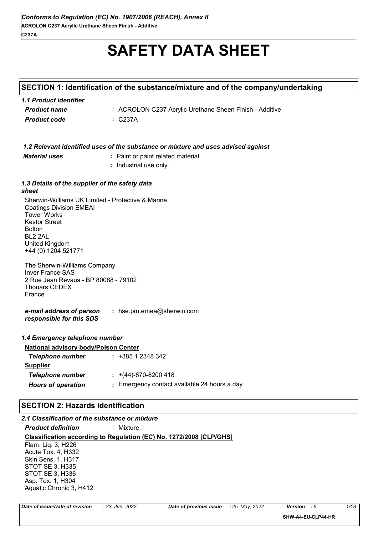# **SAFETY DATA SHEET**

## **SECTION 1: Identification of the substance/mixture and of the company/undertaking**

| 1.1 Product identifier |                                                         |
|------------------------|---------------------------------------------------------|
| <b>Product name</b>    | : ACROLON C237 Acrylic Urethane Sheen Finish - Additive |
| Product code           | : C237A                                                 |

|                                                                                                                                                                                                                           | 1.2 Relevant identified uses of the substance or mixture and uses advised against |
|---------------------------------------------------------------------------------------------------------------------------------------------------------------------------------------------------------------------------|-----------------------------------------------------------------------------------|
| <b>Material uses</b>                                                                                                                                                                                                      | : Paint or paint related material.                                                |
|                                                                                                                                                                                                                           | : Industrial use only.                                                            |
|                                                                                                                                                                                                                           |                                                                                   |
| 1.3 Details of the supplier of the safety data<br>sheet                                                                                                                                                                   |                                                                                   |
| Sherwin-Williams UK Limited - Protective & Marine<br><b>Coatings Division EMEAI</b><br><b>Tower Works</b><br><b>Kestor Street</b><br><b>Bolton</b><br>BL <sub>2</sub> 2AL<br><b>United Kingdom</b><br>+44 (0) 1204 521771 |                                                                                   |
| The Sherwin-Williams Company<br><b>Inver France SAS</b><br>2 Rue Jean Revaus - BP 80088 - 79102<br><b>Thouars CEDEX</b><br>France                                                                                         |                                                                                   |
| e-mail address of person<br>responsible for this SDS                                                                                                                                                                      | : hse.pm.emea@sherwin.com                                                         |
| 1.4 Emergency telephone number                                                                                                                                                                                            |                                                                                   |
| <b>National advisory body/Poison Center</b>                                                                                                                                                                               |                                                                                   |
| <b>Telephone number</b>                                                                                                                                                                                                   | $: +38512348342$                                                                  |
| <b>Supplier</b>                                                                                                                                                                                                           |                                                                                   |
| <b>Telephone number</b>                                                                                                                                                                                                   | $\div$ +(44)-870-8200 418                                                         |
| <b>Hours of operation</b>                                                                                                                                                                                                 | : Emergency contact available 24 hours a day                                      |
| <b>SECTION 2: Hazards identification</b>                                                                                                                                                                                  |                                                                                   |
| 2.1 Classification of the substance or mixture                                                                                                                                                                            |                                                                                   |

*Product definition* **:** Mixture

**Classification according to Regulation (EC) No. 1272/2008 [CLP/GHS]** Flam. Liq. 3, H226 Acute Tox. 4, H332 Skin Sens. 1, H317 STOT SE 3, H335 STOT SE 3, H336 Asp. Tox. 1, H304 Aquatic Chronic 3, H412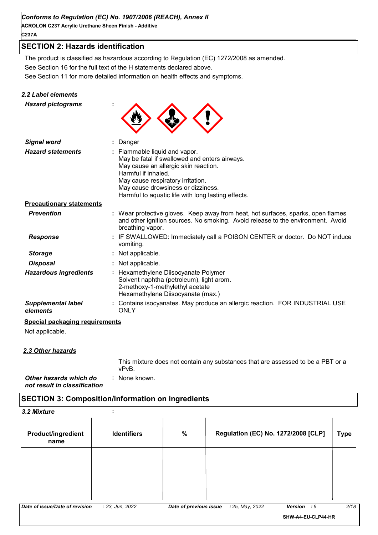**ACROLON C237 Acrylic Urethane Sheen Finish - Additive C237A**

## **SECTION 2: Hazards identification**

See Section 11 for more detailed information on health effects and symptoms. See Section 16 for the full text of the H statements declared above. The product is classified as hazardous according to Regulation (EC) 1272/2008 as amended.

#### *2.2 Label elements*

| <b>Hazard pictograms</b>              |                                                                                                                                                                                                                                                                                |
|---------------------------------------|--------------------------------------------------------------------------------------------------------------------------------------------------------------------------------------------------------------------------------------------------------------------------------|
| <b>Signal word</b>                    | Danger                                                                                                                                                                                                                                                                         |
| <b>Hazard statements</b>              | : Flammable liquid and vapor.<br>May be fatal if swallowed and enters airways.<br>May cause an allergic skin reaction.<br>Harmful if inhaled.<br>May cause respiratory irritation.<br>May cause drowsiness or dizziness.<br>Harmful to aquatic life with long lasting effects. |
| <b>Precautionary statements</b>       |                                                                                                                                                                                                                                                                                |
| <b>Prevention</b>                     | : Wear protective gloves. Keep away from heat, hot surfaces, sparks, open flames<br>and other ignition sources. No smoking. Avoid release to the environment. Avoid<br>breathing vapor.                                                                                        |
| <b>Response</b>                       | : IF SWALLOWED: Immediately call a POISON CENTER or doctor. Do NOT induce<br>vomiting.                                                                                                                                                                                         |
| <b>Storage</b>                        | Not applicable.                                                                                                                                                                                                                                                                |
| <b>Disposal</b>                       | : Not applicable.                                                                                                                                                                                                                                                              |
| <b>Hazardous ingredients</b>          | : Hexamethylene Diisocyanate Polymer<br>Solvent naphtha (petroleum), light arom.<br>2-methoxy-1-methylethyl acetate<br>Hexamethylene Diisocyanate (max.)                                                                                                                       |
| <b>Supplemental label</b><br>elements | : Contains isocyanates. May produce an allergic reaction. FOR INDUSTRIAL USE<br><b>ONLY</b>                                                                                                                                                                                    |
| Special packaging requirements        |                                                                                                                                                                                                                                                                                |

Not applicable.

#### *2.3 Other hazards*

This mixture does not contain any substances that are assessed to be a PBT or a vPvB.

*Other hazards which do* **:** *not result in classification* : None known.

### **SECTION 3: Composition/information on ingredients**

| 3.2 Mixture                       | ٠<br>٠.            |                        |                                     |                    |             |
|-----------------------------------|--------------------|------------------------|-------------------------------------|--------------------|-------------|
| <b>Product/ingredient</b><br>name | <b>Identifiers</b> | %                      | Regulation (EC) No. 1272/2008 [CLP] |                    | <b>Type</b> |
|                                   |                    |                        |                                     |                    |             |
|                                   |                    |                        |                                     |                    |             |
| Date of issue/Date of revision    | : 23, Jun, 2022    | Date of previous issue | : 25, May, 2022                     | Version : 6        | 2/18        |
|                                   |                    |                        |                                     | SHW-A4-EU-CLP44-HR |             |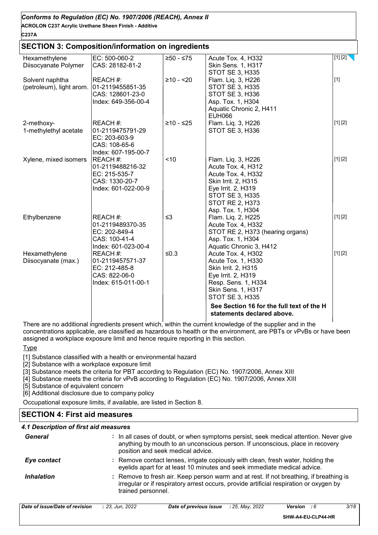| Conforms to Regulation (EC) No. 1907/2006 (REACH), Annex II<br><b>ACROLON C237 Acrylic Urethane Sheen Finish - Additive</b><br>C237A |                                                                                        |             |                                                                                                                                                                                                           |         |
|--------------------------------------------------------------------------------------------------------------------------------------|----------------------------------------------------------------------------------------|-------------|-----------------------------------------------------------------------------------------------------------------------------------------------------------------------------------------------------------|---------|
| <b>SECTION 3: Composition/information on ingredients</b>                                                                             |                                                                                        |             |                                                                                                                                                                                                           |         |
| Hexamethylene<br>Diisocyanate Polymer                                                                                                | EC: 500-060-2<br>CAS: 28182-81-2                                                       | $≥50 - ≤75$ | Acute Tox. 4, H332<br>Skin Sens. 1, H317<br>STOT SE 3, H335                                                                                                                                               | [1] [2] |
| Solvent naphtha<br>(petroleum), light arom.                                                                                          | REACH #:<br>01-2119455851-35<br>CAS: 128601-23-0<br>Index: 649-356-00-4                | $≥10 - 20$  | Flam. Liq. 3, H226<br>STOT SE 3, H335<br><b>STOT SE 3, H336</b><br>Asp. Tox. 1, H304<br>Aquatic Chronic 2, H411<br><b>EUH066</b>                                                                          | $[1]$   |
| 2-methoxy-<br>1-methylethyl acetate                                                                                                  | REACH #:<br>01-2119475791-29<br>EC: 203-603-9<br>CAS: 108-65-6<br>Index: 607-195-00-7  | $≥10 - ≤25$ | Flam. Liq. 3, H226<br>STOT SE 3, H336                                                                                                                                                                     | [1] [2] |
| Xylene, mixed isomers                                                                                                                | REACH #:<br>01-2119488216-32<br>EC: 215-535-7<br>CAS: 1330-20-7<br>Index: 601-022-00-9 | ~10         | Flam. Liq. 3, H226<br>Acute Tox. 4, H312<br>Acute Tox. 4, H332<br>Skin Irrit. 2, H315<br>Eye Irrit. 2, H319<br>STOT SE 3, H335<br>STOT RE 2, H373<br>Asp. Tox. 1, H304                                    | [1] [2] |
| Ethylbenzene                                                                                                                         | REACH #:<br>01-2119489370-35<br>EC: 202-849-4<br>CAS: 100-41-4<br>Index: 601-023-00-4  | $\leq$ 3    | Flam. Liq. 2, H225<br>Acute Tox. 4, H332<br>STOT RE 2, H373 (hearing organs)<br>Asp. Tox. 1, H304<br>Aquatic Chronic 3, H412                                                                              | [1] [2] |
| Hexamethylene<br>Diisocyanate (max.)                                                                                                 | REACH #:<br>01-2119457571-37<br>EC: 212-485-8<br>CAS: 822-06-0<br>Index: 615-011-00-1  | $≤0.3$      | Acute Tox. 4, H302<br>Acute Tox. 1, H330<br>Skin Irrit. 2, H315<br>Eye Irrit. 2, H319<br>Resp. Sens. 1, H334<br><b>Skin Sens. 1, H317</b><br>STOT SE 3, H335<br>See Section 16 for the full text of the H | [1] [2] |
|                                                                                                                                      |                                                                                        |             | statements declared above.                                                                                                                                                                                |         |

There are no additional ingredients present which, within the current knowledge of the supplier and in the concentrations applicable, are classified as hazardous to health or the environment, are PBTs or vPvBs or have been assigned a workplace exposure limit and hence require reporting in this section.

**Type** 

[1] Substance classified with a health or environmental hazard

[2] Substance with a workplace exposure limit

[3] Substance meets the criteria for PBT according to Regulation (EC) No. 1907/2006, Annex XIII

[4] Substance meets the criteria for vPvB according to Regulation (EC) No. 1907/2006, Annex XIII

[5] Substance of equivalent concern

[6] Additional disclosure due to company policy

Occupational exposure limits, if available, are listed in Section 8.

## **SECTION 4: First aid measures**

## *4.1 Description of first aid measures*

| General           | : In all cases of doubt, or when symptoms persist, seek medical attention. Never give<br>anything by mouth to an unconscious person. If unconscious, place in recovery<br>position and seek medical advice. |
|-------------------|-------------------------------------------------------------------------------------------------------------------------------------------------------------------------------------------------------------|
| Eye contact       | : Remove contact lenses, irrigate copiously with clean, fresh water, holding the<br>eyelids apart for at least 10 minutes and seek immediate medical advice.                                                |
| <b>Inhalation</b> | : Remove to fresh air. Keep person warm and at rest. If not breathing, if breathing is<br>irregular or if respiratory arrest occurs, provide artificial respiration or oxygen by<br>trained personnel.      |

| Date of issue/Date of revision | 2022<br>-23<br>Jun. | Date of previous issue | . 2022<br>: 25.<br>Mav. | Version | 3/18 |
|--------------------------------|---------------------|------------------------|-------------------------|---------|------|
|                                |                     |                        |                         |         |      |

**SHW-A4-EU-CLP44-HR**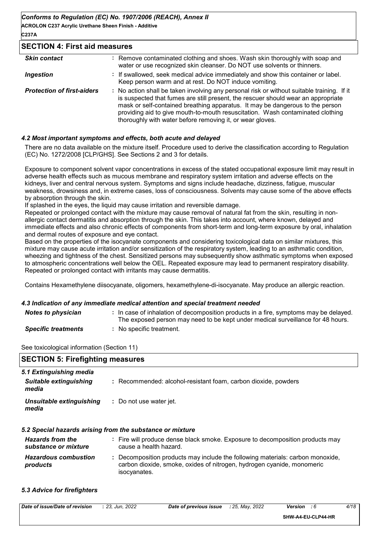**ACROLON C237 Acrylic Urethane Sheen Finish - Additive C237A**

#### **SECTION 4: First aid measures**

| <b>Skin contact</b>               | : Remove contaminated clothing and shoes. Wash skin thoroughly with soap and<br>water or use recognized skin cleanser. Do NOT use solvents or thinners.                                                                                                                                                                                                                                                         |
|-----------------------------------|-----------------------------------------------------------------------------------------------------------------------------------------------------------------------------------------------------------------------------------------------------------------------------------------------------------------------------------------------------------------------------------------------------------------|
| <b>Ingestion</b>                  | : If swallowed, seek medical advice immediately and show this container or label.<br>Keep person warm and at rest. Do NOT induce vomiting.                                                                                                                                                                                                                                                                      |
| <b>Protection of first-aiders</b> | : No action shall be taken involving any personal risk or without suitable training. If it<br>is suspected that fumes are still present, the rescuer should wear an appropriate<br>mask or self-contained breathing apparatus. It may be dangerous to the person<br>providing aid to give mouth-to-mouth resuscitation. Wash contaminated clothing<br>thoroughly with water before removing it, or wear gloves. |

#### *4.2 Most important symptoms and effects, both acute and delayed*

There are no data available on the mixture itself. Procedure used to derive the classification according to Regulation (EC) No. 1272/2008 [CLP/GHS]. See Sections 2 and 3 for details.

Exposure to component solvent vapor concentrations in excess of the stated occupational exposure limit may result in adverse health effects such as mucous membrane and respiratory system irritation and adverse effects on the kidneys, liver and central nervous system. Symptoms and signs include headache, dizziness, fatigue, muscular weakness, drowsiness and, in extreme cases, loss of consciousness. Solvents may cause some of the above effects by absorption through the skin.

If splashed in the eyes, the liquid may cause irritation and reversible damage.

Repeated or prolonged contact with the mixture may cause removal of natural fat from the skin, resulting in nonallergic contact dermatitis and absorption through the skin. This takes into account, where known, delayed and immediate effects and also chronic effects of components from short-term and long-term exposure by oral, inhalation and dermal routes of exposure and eye contact.

Based on the properties of the isocyanate components and considering toxicological data on similar mixtures, this mixture may cause acute irritation and/or sensitization of the respiratory system, leading to an asthmatic condition, wheezing and tightness of the chest. Sensitized persons may subsequently show asthmatic symptoms when exposed to atmospheric concentrations well below the OEL. Repeated exposure may lead to permanent respiratory disability. Repeated or prolonged contact with irritants may cause dermatitis.

Contains Hexamethylene diisocyanate, oligomers, hexamethylene-di-isocyanate. May produce an allergic reaction.

#### *4.3 Indication of any immediate medical attention and special treatment needed*

isocyanates.

| <b>Notes to physician</b>  | : In case of inhalation of decomposition products in a fire, symptoms may be delayed.<br>The exposed person may need to be kept under medical surveillance for 48 hours. |
|----------------------------|--------------------------------------------------------------------------------------------------------------------------------------------------------------------------|
| <b>Specific treatments</b> | No specific treatment.                                                                                                                                                   |

See toxicological information (Section 11)

| <b>SECTION 5: Firefighting measures</b>         |                                                                                                                                                          |  |  |  |
|-------------------------------------------------|----------------------------------------------------------------------------------------------------------------------------------------------------------|--|--|--|
| 5.1 Extinguishing media                         |                                                                                                                                                          |  |  |  |
| Suitable extinguishing<br>media                 | : Recommended: alcohol-resistant foam, carbon dioxide, powders                                                                                           |  |  |  |
| Unsuitable extinguishing<br>media               | : Do not use water jet.                                                                                                                                  |  |  |  |
|                                                 | 5.2 Special hazards arising from the substance or mixture                                                                                                |  |  |  |
| <b>Hazards from the</b><br>substance or mixture | : Fire will produce dense black smoke. Exposure to decomposition products may<br>cause a health hazard.                                                  |  |  |  |
| <b>Hazardous combustion</b><br>products         | : Decomposition products may include the following materials: carbon monoxide,<br>carbon dioxide, smoke, oxides of nitrogen, hydrogen cyanide, monomeric |  |  |  |

#### *5.3 Advice for firefighters*

| Date<br>of revision<br>. of issue/Date<br>וס | 2022<br>23<br>Jun. | t previous issue<br>. ot<br>Date | 2022<br>Mav<br>-25<br>- - | Version<br>. . | 4/18<br>10<br> |
|----------------------------------------------|--------------------|----------------------------------|---------------------------|----------------|----------------|
|                                              |                    |                                  |                           |                |                |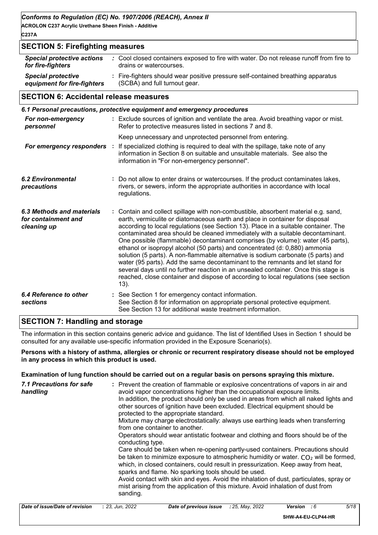**ACROLON C237 Acrylic Urethane Sheen Finish - Additive C237A**

#### **SECTION 5: Firefighting measures** *Special protective equipment for fire-fighters* **:** Fire-fighters should wear positive pressure self-contained breathing apparatus *Special protective actions for fire-fighters :* Cool closed containers exposed to fire with water. Do not release runoff from fire to drains or watercourses. (SCBA) and full turnout gear.

#### **SECTION 6: Accidental release measures**

|                                                                 |  | 6.1 Personal precautions, protective equipment and emergency procedures                                                                                                                                                                                                                                                                                                                                                                                                                                                                                                                                                                                                                                                                                                                                                                                                       |
|-----------------------------------------------------------------|--|-------------------------------------------------------------------------------------------------------------------------------------------------------------------------------------------------------------------------------------------------------------------------------------------------------------------------------------------------------------------------------------------------------------------------------------------------------------------------------------------------------------------------------------------------------------------------------------------------------------------------------------------------------------------------------------------------------------------------------------------------------------------------------------------------------------------------------------------------------------------------------|
| For non-emergency<br>personnel                                  |  | : Exclude sources of ignition and ventilate the area. Avoid breathing vapor or mist.<br>Refer to protective measures listed in sections 7 and 8.                                                                                                                                                                                                                                                                                                                                                                                                                                                                                                                                                                                                                                                                                                                              |
|                                                                 |  | Keep unnecessary and unprotected personnel from entering.                                                                                                                                                                                                                                                                                                                                                                                                                                                                                                                                                                                                                                                                                                                                                                                                                     |
|                                                                 |  | For emergency responders : If specialized clothing is required to deal with the spillage, take note of any<br>information in Section 8 on suitable and unsuitable materials. See also the<br>information in "For non-emergency personnel".                                                                                                                                                                                                                                                                                                                                                                                                                                                                                                                                                                                                                                    |
| <b>6.2 Environmental</b><br>precautions                         |  | : Do not allow to enter drains or watercourses. If the product contaminates lakes,<br>rivers, or sewers, inform the appropriate authorities in accordance with local<br>regulations.                                                                                                                                                                                                                                                                                                                                                                                                                                                                                                                                                                                                                                                                                          |
| 6.3 Methods and materials<br>for containment and<br>cleaning up |  | : Contain and collect spillage with non-combustible, absorbent material e.g. sand,<br>earth, vermiculite or diatomaceous earth and place in container for disposal<br>according to local regulations (see Section 13). Place in a suitable container. The<br>contaminated area should be cleaned immediately with a suitable decontaminant.<br>One possible (flammable) decontaminant comprises (by volume): water (45 parts),<br>ethanol or isopropyl alcohol (50 parts) and concentrated (d: 0,880) ammonia<br>solution (5 parts). A non-flammable alternative is sodium carbonate (5 parts) and<br>water (95 parts). Add the same decontaminant to the remnants and let stand for<br>several days until no further reaction in an unsealed container. Once this stage is<br>reached, close container and dispose of according to local regulations (see section<br>$13)$ . |
| 6.4 Reference to other<br>sections                              |  | : See Section 1 for emergency contact information.<br>See Section 8 for information on appropriate personal protective equipment.<br>See Section 13 for additional waste treatment information.                                                                                                                                                                                                                                                                                                                                                                                                                                                                                                                                                                                                                                                                               |

## **SECTION 7: Handling and storage**

The information in this section contains generic advice and guidance. The list of Identified Uses in Section 1 should be consulted for any available use-specific information provided in the Exposure Scenario(s).

**Persons with a history of asthma, allergies or chronic or recurrent respiratory disease should not be employed in any process in which this product is used.**

**Examination of lung function should be carried out on a regular basis on persons spraying this mixture.**

| avoid vapor concentrations higher than the occupational exposure limits.<br>handling<br>In addition, the product should only be used in areas from which all naked lights and<br>other sources of ignition have been excluded. Electrical equipment should be<br>protected to the appropriate standard.<br>Mixture may charge electrostatically: always use earthing leads when transferring<br>from one container to another.<br>Operators should wear antistatic footwear and clothing and floors should be of the<br>conducting type.<br>Care should be taken when re-opening partly-used containers. Precautions should<br>be taken to minimize exposure to atmospheric humidity or water. $CO2$ will be formed,<br>which, in closed containers, could result in pressurization. Keep away from heat,<br>sparks and flame. No sparking tools should be used.<br>Avoid contact with skin and eyes. Avoid the inhalation of dust, particulates, spray or<br>mist arising from the application of this mixture. Avoid inhalation of dust from<br>sanding. |  |
|------------------------------------------------------------------------------------------------------------------------------------------------------------------------------------------------------------------------------------------------------------------------------------------------------------------------------------------------------------------------------------------------------------------------------------------------------------------------------------------------------------------------------------------------------------------------------------------------------------------------------------------------------------------------------------------------------------------------------------------------------------------------------------------------------------------------------------------------------------------------------------------------------------------------------------------------------------------------------------------------------------------------------------------------------------|--|
|------------------------------------------------------------------------------------------------------------------------------------------------------------------------------------------------------------------------------------------------------------------------------------------------------------------------------------------------------------------------------------------------------------------------------------------------------------------------------------------------------------------------------------------------------------------------------------------------------------------------------------------------------------------------------------------------------------------------------------------------------------------------------------------------------------------------------------------------------------------------------------------------------------------------------------------------------------------------------------------------------------------------------------------------------------|--|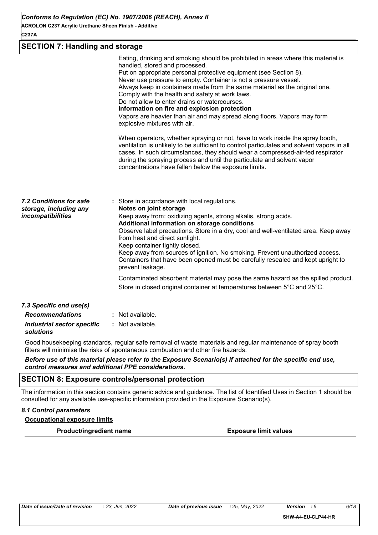## **SECTION 7: Handling and storage**

|                                                                        | Eating, drinking and smoking should be prohibited in areas where this material is<br>handled, stored and processed.<br>Put on appropriate personal protective equipment (see Section 8).<br>Never use pressure to empty. Container is not a pressure vessel.<br>Always keep in containers made from the same material as the original one.<br>Comply with the health and safety at work laws.<br>Do not allow to enter drains or watercourses.<br>Information on fire and explosion protection<br>Vapors are heavier than air and may spread along floors. Vapors may form<br>explosive mixtures with air.<br>When operators, whether spraying or not, have to work inside the spray booth,<br>ventilation is unlikely to be sufficient to control particulates and solvent vapors in all<br>cases. In such circumstances, they should wear a compressed-air-fed respirator<br>during the spraying process and until the particulate and solvent vapor<br>concentrations have fallen below the exposure limits. |
|------------------------------------------------------------------------|-----------------------------------------------------------------------------------------------------------------------------------------------------------------------------------------------------------------------------------------------------------------------------------------------------------------------------------------------------------------------------------------------------------------------------------------------------------------------------------------------------------------------------------------------------------------------------------------------------------------------------------------------------------------------------------------------------------------------------------------------------------------------------------------------------------------------------------------------------------------------------------------------------------------------------------------------------------------------------------------------------------------|
| 7.2 Conditions for safe<br>storage, including any<br>incompatibilities | : Store in accordance with local regulations.<br>Notes on joint storage<br>Keep away from: oxidizing agents, strong alkalis, strong acids.<br>Additional information on storage conditions<br>Observe label precautions. Store in a dry, cool and well-ventilated area. Keep away<br>from heat and direct sunlight.<br>Keep container tightly closed.<br>Keep away from sources of ignition. No smoking. Prevent unauthorized access.<br>Containers that have been opened must be carefully resealed and kept upright to<br>prevent leakage.<br>Contaminated absorbent material may pose the same hazard as the spilled product.<br>Store in closed original container at temperatures between 5°C and 25°C.                                                                                                                                                                                                                                                                                                    |
| 7.3 Specific end use(s)<br><b>Recommendations</b>                      | : Not available.                                                                                                                                                                                                                                                                                                                                                                                                                                                                                                                                                                                                                                                                                                                                                                                                                                                                                                                                                                                                |
| <b>Industrial sector specific</b><br>solutions                         | : Not available.                                                                                                                                                                                                                                                                                                                                                                                                                                                                                                                                                                                                                                                                                                                                                                                                                                                                                                                                                                                                |

Good housekeeping standards, regular safe removal of waste materials and regular maintenance of spray booth filters will minimise the risks of spontaneous combustion and other fire hazards.

*Before use of this material please refer to the Exposure Scenario(s) if attached for the specific end use, control measures and additional PPE considerations.*

### **SECTION 8: Exposure controls/personal protection**

The information in this section contains generic advice and guidance. The list of Identified Uses in Section 1 should be consulted for any available use-specific information provided in the Exposure Scenario(s).

#### *8.1 Control parameters*

**Occupational exposure limits**

**Product/ingredient name Exposure limit values**

**SHW-A4-EU-CLP44-HR**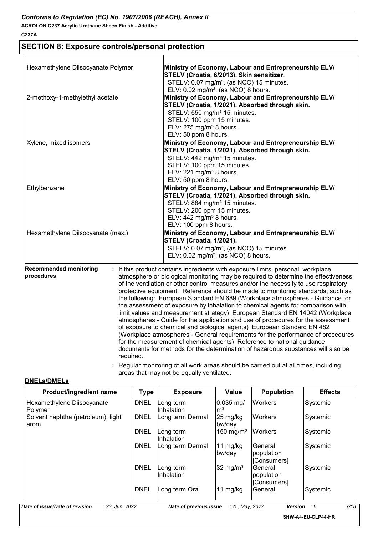## **SECTION 8: Exposure controls/personal protection**

| Hexamethylene Diisocyanate Polymer                       | Ministry of Economy, Labour and Entrepreneurship ELV/<br>STELV (Croatia, 6/2013). Skin sensitizer.<br>STELV: 0.07 mg/m <sup>3</sup> , (as NCO) 15 minutes.                                                                                                                                                                                                                                                                                                                                                                                                                                                                                                                                                                                                                                                                                                                                                                                                                                                          |  |  |
|----------------------------------------------------------|---------------------------------------------------------------------------------------------------------------------------------------------------------------------------------------------------------------------------------------------------------------------------------------------------------------------------------------------------------------------------------------------------------------------------------------------------------------------------------------------------------------------------------------------------------------------------------------------------------------------------------------------------------------------------------------------------------------------------------------------------------------------------------------------------------------------------------------------------------------------------------------------------------------------------------------------------------------------------------------------------------------------|--|--|
| 2-methoxy-1-methylethyl acetate                          | ELV: 0.02 mg/m <sup>3</sup> , (as NCO) 8 hours.<br>Ministry of Economy, Labour and Entrepreneurship ELV/<br>STELV (Croatia, 1/2021). Absorbed through skin.<br>STELV: 550 mg/m <sup>3</sup> 15 minutes.<br>STELV: 100 ppm 15 minutes.<br>ELV: 275 mg/m <sup>3</sup> 8 hours.                                                                                                                                                                                                                                                                                                                                                                                                                                                                                                                                                                                                                                                                                                                                        |  |  |
| Xylene, mixed isomers                                    | ELV: 50 ppm 8 hours.<br>Ministry of Economy, Labour and Entrepreneurship ELV/                                                                                                                                                                                                                                                                                                                                                                                                                                                                                                                                                                                                                                                                                                                                                                                                                                                                                                                                       |  |  |
|                                                          | STELV (Croatia, 1/2021). Absorbed through skin.<br>STELV: 442 mg/m <sup>3</sup> 15 minutes.<br>STELV: 100 ppm 15 minutes.<br>ELV: 221 mg/m <sup>3</sup> 8 hours.<br>ELV: 50 ppm 8 hours.                                                                                                                                                                                                                                                                                                                                                                                                                                                                                                                                                                                                                                                                                                                                                                                                                            |  |  |
| Ethylbenzene                                             | Ministry of Economy, Labour and Entrepreneurship ELV/<br>STELV (Croatia, 1/2021). Absorbed through skin.<br>STELV: 884 mg/m <sup>3</sup> 15 minutes.<br>STELV: 200 ppm 15 minutes.<br>ELV: $442$ mg/m <sup>3</sup> 8 hours.<br>ELV: 100 ppm 8 hours.                                                                                                                                                                                                                                                                                                                                                                                                                                                                                                                                                                                                                                                                                                                                                                |  |  |
| Hexamethylene Diisocyanate (max.)                        | Ministry of Economy, Labour and Entrepreneurship ELV/<br>STELV (Croatia, 1/2021).<br>STELV: 0.07 mg/m <sup>3</sup> , (as NCO) 15 minutes.<br>ELV: 0.02 mg/m <sup>3</sup> , (as NCO) 8 hours.                                                                                                                                                                                                                                                                                                                                                                                                                                                                                                                                                                                                                                                                                                                                                                                                                        |  |  |
| <b>Recommended monitoring</b><br>procedures<br>required. | If this product contains ingredients with exposure limits, personal, workplace<br>atmosphere or biological monitoring may be required to determine the effectiveness<br>of the ventilation or other control measures and/or the necessity to use respiratory<br>protective equipment. Reference should be made to monitoring standards, such as<br>the following: European Standard EN 689 (Workplace atmospheres - Guidance for<br>the assessment of exposure by inhalation to chemical agents for comparison with<br>limit values and measurement strategy) European Standard EN 14042 (Workplace<br>atmospheres - Guide for the application and use of procedures for the assessment<br>of exposure to chemical and biological agents) European Standard EN 482<br>(Workplace atmospheres - General requirements for the performance of procedures<br>for the measurement of chemical agents) Reference to national guidance<br>documents for methods for the determination of hazardous substances will also be |  |  |

**DNELs/DMELs**

| Product/ingredient name                     | Type        | <b>Exposure</b>         | Value                          | <b>Population</b>                    | <b>Effects</b> |
|---------------------------------------------|-------------|-------------------------|--------------------------------|--------------------------------------|----------------|
| Hexamethylene Diisocyanate<br>Polymer       | <b>DNEL</b> | ong term_<br>Inhalation | $0.035$ mg/<br>$\mathsf{Im}^3$ | <b>Workers</b>                       | Systemic       |
| Solvent naphtha (petroleum), light<br>arom. | <b>DNEL</b> | Long term Dermal        | 25 mg/kg<br>bw/day             | <b>Workers</b>                       | Systemic       |
|                                             | <b>DNEL</b> | _ong term<br>Inhalation | 150 mg/m <sup>3</sup>          | <b>Workers</b>                       | Systemic       |
|                                             | <b>DNEL</b> | ong term Dermal         | 11 mg/kg<br>bw/day             | General<br>population<br>[Consumers] | Systemic       |
|                                             | <b>DNEL</b> | _ong term<br>Inhalation | 32 mg/ $m3$                    | General<br>population<br>[Consumers] | Systemic       |
|                                             | <b>DNEL</b> | ong term OralL          | $11 \text{ mg/kg}$             | General                              | Systemic       |

areas that may not be equally ventilated.

**:** Regular monitoring of all work areas should be carried out at all times, including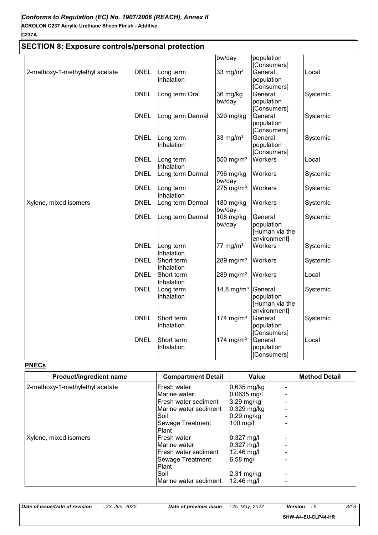## **SECTION 8: Exposure controls/personal protection**

|                                 |             |                 | bw/day                  | population              |          |
|---------------------------------|-------------|-----------------|-------------------------|-------------------------|----------|
|                                 |             |                 |                         | [Consumers]             |          |
| 2-methoxy-1-methylethyl acetate | <b>DNEL</b> | ong term        | 33 mg/ $m3$             | General                 | Local    |
|                                 |             | nhalation       |                         | population              |          |
|                                 |             |                 |                         | [Consumers]             |          |
|                                 | <b>DNEL</b> | ong term Oral   | 36 mg/kg                | General                 | Systemic |
|                                 |             |                 | bw/day                  | population              |          |
|                                 |             |                 |                         | [Consumers]             |          |
|                                 | <b>DNEL</b> | ong term Dermal | 320 mg/kg               | General                 | Systemic |
|                                 |             |                 |                         | population              |          |
|                                 |             |                 |                         | [Consumers]             |          |
|                                 | <b>DNEL</b> | .ong term       | 33 mg/ $m3$             | General                 | Systemic |
|                                 |             | nhalation       |                         | population              |          |
|                                 |             |                 |                         | [Consumers]             |          |
|                                 | <b>DNEL</b> | ong term        | 550 mg/m $3$            | Workers                 | Local    |
|                                 |             | nhalation       |                         |                         |          |
|                                 | <b>DNEL</b> | ong term Dermal | 796 mg/kg<br>bw/day     | Workers                 | Systemic |
|                                 | <b>DNEL</b> | ong term        | $275$ mg/m <sup>3</sup> | Workers                 | Systemic |
|                                 |             | nhalation       |                         |                         |          |
| Xylene, mixed isomers           | <b>DNEL</b> | ong term Dermal | 180 mg/kg               | Workers                 | Systemic |
|                                 |             |                 | bw/day                  |                         |          |
|                                 | <b>DNEL</b> | ong term Dermal | 108 mg/kg               | General                 | Systemic |
|                                 |             |                 | bw/day                  | population              |          |
|                                 |             |                 |                         | [Human via the          |          |
|                                 |             |                 |                         | environment]            |          |
|                                 | <b>DNEL</b> | ong term        | $77 \text{ mg/m}^3$     | Workers                 | Systemic |
|                                 |             | nhalation       |                         |                         |          |
|                                 | <b>DNEL</b> | Short term      | 289 mg/ $m3$            | Workers                 | Systemic |
|                                 |             | Inhalation      |                         |                         |          |
|                                 | <b>DNEL</b> | Short term      | 289 mg/m $3$            | Workers                 | Local    |
|                                 |             | nhalation       |                         |                         |          |
|                                 | <b>DNEL</b> | ong term        | 14.8 mg/m <sup>3</sup>  | General                 | Systemic |
|                                 |             | nhalation       |                         | population              |          |
|                                 |             |                 |                         | [Human via the          |          |
|                                 | <b>DNEL</b> | Short term      |                         | environment]<br>General |          |
|                                 |             | nhalation       | 174 mg/m <sup>3</sup>   | population              | Systemic |
|                                 |             |                 |                         | [Consumers]             |          |
|                                 | <b>DNEL</b> | Short term      | 174 mg/m <sup>3</sup>   | General                 | Local    |
|                                 |             | nhalation       |                         | population              |          |
|                                 |             |                 |                         | [Consumers]             |          |
|                                 |             |                 |                         |                         |          |

#### **PNECs**

| Product/ingredient name         | <b>Compartment Detail</b> | <b>Value</b>         | <b>Method Detail</b> |
|---------------------------------|---------------------------|----------------------|----------------------|
| 2-methoxy-1-methylethyl acetate | Fresh water               | 0.635 mg/kg          |                      |
|                                 | Marine water              | $0.0635$ mg/l        |                      |
|                                 | Fresh water sediment      | 3.29 mg/kg           |                      |
|                                 | Marine water sediment     | $0.329$ mg/kg        |                      |
|                                 | Soil                      | $0.29$ mg/kg         |                      |
|                                 | Sewage Treatment          | $100 \text{ mg/l}$   |                      |
|                                 | Plant                     |                      |                      |
| Xylene, mixed isomers           | lFresh water              | $0.327$ mg/l         |                      |
|                                 | Marine water              | $0.327$ mg/l         |                      |
|                                 | Fresh water sediment      | 12.46 mg/l           |                      |
|                                 | Sewage Treatment          | 6.58 mg/l            |                      |
|                                 | <b>Plant</b>              |                      |                      |
|                                 | Soil                      | $2.31 \text{ mg/kg}$ |                      |
|                                 | Marine water sediment     | $12.46$ mg/l         |                      |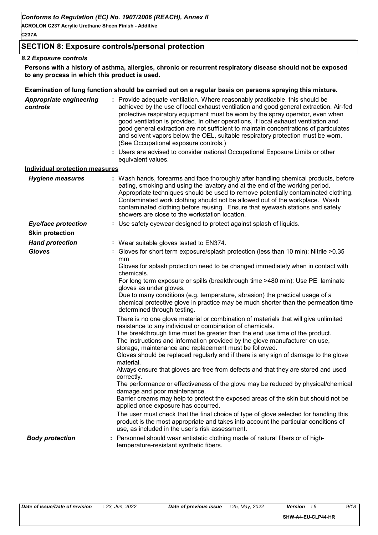**ACROLON C237 Acrylic Urethane Sheen Finish - Additive C237A**

## **SECTION 8: Exposure controls/personal protection**

#### *8.2 Exposure controls*

**Persons with a history of asthma, allergies, chronic or recurrent respiratory disease should not be exposed to any process in which this product is used.**

#### **Examination of lung function should be carried out on a regular basis on persons spraying this mixture.**

| <b>Appropriate engineering</b><br>controls | : Provide adequate ventilation. Where reasonably practicable, this should be<br>achieved by the use of local exhaust ventilation and good general extraction. Air-fed<br>protective respiratory equipment must be worn by the spray operator, even when<br>good ventilation is provided. In other operations, if local exhaust ventilation and<br>good general extraction are not sufficient to maintain concentrations of particulates<br>and solvent vapors below the OEL, suitable respiratory protection must be worn.<br>(See Occupational exposure controls.)                                                                                                                                                                                                                                                                                                                                                                                                                                                                                                  |
|--------------------------------------------|----------------------------------------------------------------------------------------------------------------------------------------------------------------------------------------------------------------------------------------------------------------------------------------------------------------------------------------------------------------------------------------------------------------------------------------------------------------------------------------------------------------------------------------------------------------------------------------------------------------------------------------------------------------------------------------------------------------------------------------------------------------------------------------------------------------------------------------------------------------------------------------------------------------------------------------------------------------------------------------------------------------------------------------------------------------------|
|                                            | : Users are advised to consider national Occupational Exposure Limits or other<br>equivalent values.                                                                                                                                                                                                                                                                                                                                                                                                                                                                                                                                                                                                                                                                                                                                                                                                                                                                                                                                                                 |
| <b>Individual protection measures</b>      |                                                                                                                                                                                                                                                                                                                                                                                                                                                                                                                                                                                                                                                                                                                                                                                                                                                                                                                                                                                                                                                                      |
| <b>Hygiene measures</b>                    | : Wash hands, forearms and face thoroughly after handling chemical products, before<br>eating, smoking and using the lavatory and at the end of the working period.<br>Appropriate techniques should be used to remove potentially contaminated clothing.<br>Contaminated work clothing should not be allowed out of the workplace. Wash<br>contaminated clothing before reusing. Ensure that eyewash stations and safety<br>showers are close to the workstation location.                                                                                                                                                                                                                                                                                                                                                                                                                                                                                                                                                                                          |
| <b>Eye/face protection</b>                 | : Use safety eyewear designed to protect against splash of liquids.                                                                                                                                                                                                                                                                                                                                                                                                                                                                                                                                                                                                                                                                                                                                                                                                                                                                                                                                                                                                  |
| <b>Skin protection</b>                     |                                                                                                                                                                                                                                                                                                                                                                                                                                                                                                                                                                                                                                                                                                                                                                                                                                                                                                                                                                                                                                                                      |
| <b>Hand protection</b>                     | : Wear suitable gloves tested to EN374.                                                                                                                                                                                                                                                                                                                                                                                                                                                                                                                                                                                                                                                                                                                                                                                                                                                                                                                                                                                                                              |
| <b>Gloves</b>                              | : Gloves for short term exposure/splash protection (less than 10 min): Nitrile >0.35<br>mm<br>Gloves for splash protection need to be changed immediately when in contact with<br>chemicals.<br>For long term exposure or spills (breakthrough time >480 min): Use PE laminate<br>gloves as under gloves.<br>Due to many conditions (e.g. temperature, abrasion) the practical usage of a<br>chemical protective glove in practice may be much shorter than the permeation time<br>determined through testing.                                                                                                                                                                                                                                                                                                                                                                                                                                                                                                                                                       |
|                                            | There is no one glove material or combination of materials that will give unlimited<br>resistance to any individual or combination of chemicals.<br>The breakthrough time must be greater than the end use time of the product.<br>The instructions and information provided by the glove manufacturer on use,<br>storage, maintenance and replacement must be followed.<br>Gloves should be replaced regularly and if there is any sign of damage to the glove<br>material.<br>Always ensure that gloves are free from defects and that they are stored and used<br>correctly.<br>The performance or effectiveness of the glove may be reduced by physical/chemical<br>damage and poor maintenance.<br>Barrier creams may help to protect the exposed areas of the skin but should not be<br>applied once exposure has occurred.<br>The user must check that the final choice of type of glove selected for handling this<br>product is the most appropriate and takes into account the particular conditions of<br>use, as included in the user's risk assessment. |
| <b>Body protection</b>                     | : Personnel should wear antistatic clothing made of natural fibers or of high-<br>temperature-resistant synthetic fibers.                                                                                                                                                                                                                                                                                                                                                                                                                                                                                                                                                                                                                                                                                                                                                                                                                                                                                                                                            |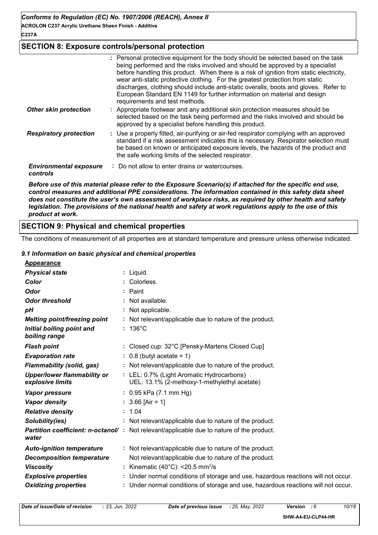## **SECTION 8: Exposure controls/personal protection**

|                                           | : Personal protective equipment for the body should be selected based on the task<br>being performed and the risks involved and should be approved by a specialist<br>before handling this product. When there is a risk of ignition from static electricity,<br>wear anti-static protective clothing. For the greatest protection from static<br>discharges, clothing should include anti-static overalls, boots and gloves. Refer to<br>European Standard EN 1149 for further information on material and design<br>requirements and test methods. |
|-------------------------------------------|------------------------------------------------------------------------------------------------------------------------------------------------------------------------------------------------------------------------------------------------------------------------------------------------------------------------------------------------------------------------------------------------------------------------------------------------------------------------------------------------------------------------------------------------------|
| <b>Other skin protection</b>              | : Appropriate footwear and any additional skin protection measures should be<br>selected based on the task being performed and the risks involved and should be<br>approved by a specialist before handling this product.                                                                                                                                                                                                                                                                                                                            |
| <b>Respiratory protection</b>             | : Use a properly fitted, air-purifying or air-fed respirator complying with an approved<br>standard if a risk assessment indicates this is necessary. Respirator selection must<br>be based on known or anticipated exposure levels, the hazards of the product and<br>the safe working limits of the selected respirator.                                                                                                                                                                                                                           |
| <b>Environmental exposure</b><br>controls | : Do not allow to enter drains or watercourses.                                                                                                                                                                                                                                                                                                                                                                                                                                                                                                      |

*Before use of this material please refer to the Exposure Scenario(s) if attached for the specific end use, control measures and additional PPE considerations. The information contained in this safety data sheet does not constitute the user's own assessment of workplace risks, as required by other health and safety legislation. The provisions of the national health and safety at work regulations apply to the use of this product at work.*

## **SECTION 9: Physical and chemical properties**

The conditions of measurement of all properties are at standard temperature and pressure unless otherwise indicated.

#### *9.1 Information on basic physical and chemical properties*

|--|

| <u>Appearance</u>                                      |                                                                                                  |
|--------------------------------------------------------|--------------------------------------------------------------------------------------------------|
| <b>Physical state</b>                                  | : Liquid.                                                                                        |
| Color                                                  | Colorless.                                                                                       |
| <b>Odor</b>                                            | $:$ Paint                                                                                        |
| <b>Odor threshold</b>                                  | Not available.                                                                                   |
| pH                                                     | : Not applicable.                                                                                |
| <b>Melting point/freezing point</b>                    | : Not relevant/applicable due to nature of the product.                                          |
| Initial boiling point and<br>boiling range             | $: 136^{\circ}$ C                                                                                |
| <b>Flash point</b>                                     | : Closed cup: 32°C [Pensky-Martens Closed Cup]                                                   |
| <b>Evaporation rate</b>                                | $: 0.8$ (butyl acetate = 1)                                                                      |
| <b>Flammability (solid, gas)</b>                       | : Not relevant/applicable due to nature of the product.                                          |
| <b>Upper/lower flammability or</b><br>explosive limits | : LEL: 0.7% (Light Aromatic Hydrocarbons)<br>UEL: 13.1% (2-methoxy-1-methylethyl acetate)        |
| Vapor pressure                                         | : $0.95$ kPa $(7.1$ mm Hg)                                                                       |
| <b>Vapor density</b>                                   | $: 3.66$ [Air = 1]                                                                               |
| <b>Relative density</b>                                | : 1.04                                                                                           |
| Solubility(ies)                                        | : Not relevant/applicable due to nature of the product.                                          |
| water                                                  | <b>Partition coefficient: n-octanol/</b> : Not relevant/applicable due to nature of the product. |
| <b>Auto-ignition temperature</b>                       | : Not relevant/applicable due to nature of the product.                                          |
| <b>Decomposition temperature</b>                       | Not relevant/applicable due to nature of the product.                                            |
| <b>Viscosity</b>                                       | Kinematic (40 $^{\circ}$ C): <20.5 mm <sup>2</sup> /s                                            |
| <b>Explosive properties</b>                            | : Under normal conditions of storage and use, hazardous reactions will not occur.                |
| <b>Oxidizing properties</b>                            | : Under normal conditions of storage and use, hazardous reactions will not occur.                |
|                                                        |                                                                                                  |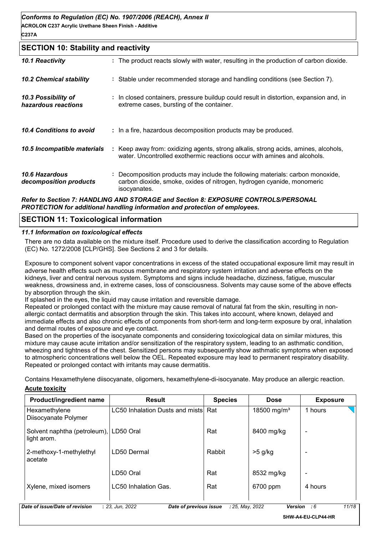#### **SECTION 10: Stability and reactivity**

| 10.1 Reactivity                                 | : The product reacts slowly with water, resulting in the production of carbon dioxide.                                                                                 |
|-------------------------------------------------|------------------------------------------------------------------------------------------------------------------------------------------------------------------------|
| <b>10.2 Chemical stability</b>                  | : Stable under recommended storage and handling conditions (see Section 7).                                                                                            |
| 10.3 Possibility of<br>hazardous reactions      | : In closed containers, pressure buildup could result in distortion, expansion and, in<br>extreme cases, bursting of the container.                                    |
| 10.4 Conditions to avoid                        | : In a fire, hazardous decomposition products may be produced.                                                                                                         |
| 10.5 Incompatible materials                     | : Keep away from: oxidizing agents, strong alkalis, strong acids, amines, alcohols,<br>water. Uncontrolled exothermic reactions occur with amines and alcohols.        |
| <b>10.6 Hazardous</b><br>decomposition products | Decomposition products may include the following materials: carbon monoxide,<br>carbon dioxide, smoke, oxides of nitrogen, hydrogen cyanide, monomeric<br>isocyanates. |
|                                                 | Refer to Section 7: HANDLING AND STORAGE and Section 8: EXPOSURE CONTROLS/PERSONAL                                                                                     |

#### *PROTECTION for additional handling information and protection of employees.*

### **SECTION 11: Toxicological information**

#### *11.1 Information on toxicological effects*

There are no data available on the mixture itself. Procedure used to derive the classification according to Regulation (EC) No. 1272/2008 [CLP/GHS]. See Sections 2 and 3 for details.

Exposure to component solvent vapor concentrations in excess of the stated occupational exposure limit may result in adverse health effects such as mucous membrane and respiratory system irritation and adverse effects on the kidneys, liver and central nervous system. Symptoms and signs include headache, dizziness, fatigue, muscular weakness, drowsiness and, in extreme cases, loss of consciousness. Solvents may cause some of the above effects by absorption through the skin.

If splashed in the eyes, the liquid may cause irritation and reversible damage.

Repeated or prolonged contact with the mixture may cause removal of natural fat from the skin, resulting in nonallergic contact dermatitis and absorption through the skin. This takes into account, where known, delayed and immediate effects and also chronic effects of components from short-term and long-term exposure by oral, inhalation and dermal routes of exposure and eye contact.

Based on the properties of the isocyanate components and considering toxicological data on similar mixtures, this mixture may cause acute irritation and/or sensitization of the respiratory system, leading to an asthmatic condition, wheezing and tightness of the chest. Sensitized persons may subsequently show asthmatic symptoms when exposed to atmospheric concentrations well below the OEL. Repeated exposure may lead to permanent respiratory disability. Repeated or prolonged contact with irritants may cause dermatitis.

Hexamethylene Diisocyanate Polymer LC50 Inhalation Dusts and mists Rat  $18500$  mg/m<sup>3</sup> 1 hours Solvent naphtha (petroleum), LD50 Oral light arom. Rat  $|8400 \text{ mg/kg}$ 2-methoxy-1-methylethyl acetate LD50 Dermal Rabbit | >5 g/kg LD50 Oral Rat Rat Rat R532 mg/kg Xylene, mixed isomers LC50 Inhalation Gas. Rat Rat Roll provide a 4 hours **Product/ingredient name Result Result Result Species Dose Exposure** *Date of issue/Date of revision* **:** *23, Jun, 2022 Date of previous issue : 25, May, 2022 Version : 6 11/18* **SHW-A4-EU-CLP44-HR**

**Acute toxicity** Contains Hexamethylene diisocyanate, oligomers, hexamethylene-di-isocyanate. May produce an allergic reaction.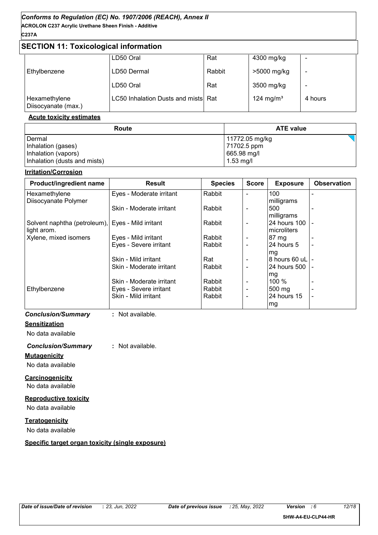## **ACROLON C237 Acrylic Urethane Sheen Finish - Additive** *Conforms to Regulation (EC) No. 1907/2006 (REACH), Annex II*

## **C237A**

## **SECTION 11: Toxicological information**

|                                      | LD50 Oral                           | Rat    | 4300 mg/kg            | -       |
|--------------------------------------|-------------------------------------|--------|-----------------------|---------|
| Ethylbenzene                         | LD50 Dermal                         | Rabbit | >5000 mg/kg           | -       |
|                                      | LD50 Oral                           | Rat    | 3500 mg/kg            | ۰       |
| Hexamethylene<br>Diisocyanate (max.) | LC50 Inhalation Dusts and mists Rat |        | 124 mg/m <sup>3</sup> | 4 hours |

#### **Acute toxicity estimates**

| Route                        | <b>ATE value</b> |  |
|------------------------------|------------------|--|
| Dermal                       | 11772.05 mg/kg   |  |
| Inhalation (gases)           | 71702.5 ppm      |  |
| Inhalation (vapors)          | 665.98 mg/l      |  |
| Inhalation (dusts and mists) | 1.53 mg/l        |  |

#### **Irritation/Corrosion**

| Product/ingredient name                           | <b>Result</b>            | <b>Species</b> | <b>Score</b>   | <b>Exposure</b>   | <b>Observation</b> |
|---------------------------------------------------|--------------------------|----------------|----------------|-------------------|--------------------|
| Hexamethylene                                     | Eyes - Moderate irritant | Rabbit         |                | 100               |                    |
| Diisocyanate Polymer                              |                          |                |                | milligrams        |                    |
|                                                   | Skin - Moderate irritant | Rabbit         | $\blacksquare$ | 500               |                    |
|                                                   |                          |                |                | milligrams        |                    |
| Solvent naphtha (petroleum), Eyes - Mild irritant |                          | Rabbit         |                | 24 hours 100 -    |                    |
| light arom.                                       |                          |                |                | microliters       |                    |
| Xylene, mixed isomers                             | Eyes - Mild irritant     | Rabbit         |                | $87 \text{ mg}$   |                    |
|                                                   | Eyes - Severe irritant   | Rabbit         |                | 24 hours 5        |                    |
|                                                   |                          |                |                | mg                |                    |
|                                                   | Skin - Mild irritant     | Rat            |                |                   |                    |
|                                                   | Skin - Moderate irritant | Rabbit         |                | I24 hours 500 I - |                    |
|                                                   |                          |                |                | mg                |                    |
|                                                   | Skin - Moderate irritant | Rabbit         |                | $100 \%$          |                    |
| Ethylbenzene                                      | Eyes - Severe irritant   | Rabbit         | $\blacksquare$ | 500 mg            | $\blacksquare$     |
|                                                   | Skin - Mild irritant     | Rabbit         | $\blacksquare$ | $24$ hours 15     |                    |
|                                                   |                          |                |                | mg                |                    |

#### *Conclusion/Summary* **:** Not available.

## **Sensitization**

No data available

## *Conclusion/Summary* **:** Not available.

**Mutagenicity**

No data available

## **Carcinogenicity**

No data available

### **Reproductive toxicity**

No data available

### **Teratogenicity**

No data available

## **Specific target organ toxicity (single exposure)**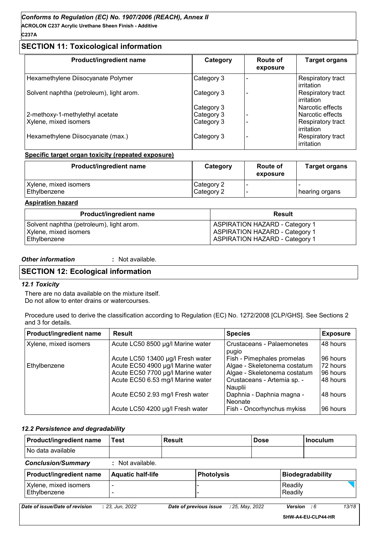**C237A**

## **SECTION 11: Toxicological information**

| Product/ingredient name                  | Category   | <b>Route of</b><br>exposure | <b>Target organs</b>            |
|------------------------------------------|------------|-----------------------------|---------------------------------|
| Hexamethylene Diisocyanate Polymer       | Category 3 |                             | Respiratory tract<br>irritation |
| Solvent naphtha (petroleum), light arom. | Category 3 |                             | Respiratory tract<br>irritation |
|                                          | Category 3 |                             | Narcotic effects                |
| 2-methoxy-1-methylethyl acetate          | Category 3 |                             | Narcotic effects                |
| Xylene, mixed isomers                    | Category 3 |                             | Respiratory tract<br>irritation |
| Hexamethylene Diisocyanate (max.)        | Category 3 |                             | Respiratory tract<br>irritation |

#### **Specific target organ toxicity (repeated exposure)**

| Product/ingredient name               | Category                 | Route of<br>exposure | <b>Target organs</b> |
|---------------------------------------|--------------------------|----------------------|----------------------|
| Xylene, mixed isomers<br>Ethylbenzene | Category 2<br>Category 2 |                      | ∣ hearing organs     |

#### **Aspiration hazard**

| <b>Product/ingredient name</b>           | Result                                |
|------------------------------------------|---------------------------------------|
| Solvent naphtha (petroleum), light arom. | <b>ASPIRATION HAZARD - Category 1</b> |
| Xylene, mixed isomers                    | <b>ASPIRATION HAZARD - Category 1</b> |
| Ethylbenzene                             | <b>ASPIRATION HAZARD - Category 1</b> |

#### *Other information* **:**

: Not available.

## **SECTION 12: Ecological information**

#### *12.1 Toxicity*

There are no data available on the mixture itself. Do not allow to enter drains or watercourses.

Procedure used to derive the classification according to Regulation (EC) No. 1272/2008 [CLP/GHS]. See Sections 2 and 3 for details.

| Product/ingredient name                                    | <b>Result</b>                     | <b>Species</b>                         | <b>Exposure</b> |
|------------------------------------------------------------|-----------------------------------|----------------------------------------|-----------------|
| Xylene, mixed isomers<br>Acute LC50 8500 µg/l Marine water |                                   | Crustaceans - Palaemonetes<br>pugio    | 48 hours        |
|                                                            | Acute LC50 13400 µg/l Fresh water | Fish - Pimephales promelas             | 96 hours        |
| Ethylbenzene                                               | Acute EC50 4900 µg/l Marine water | Algae - Skeletonema costatum           | 72 hours        |
|                                                            | Acute EC50 7700 µg/l Marine water | Algae - Skeletonema costatum           | 96 hours        |
|                                                            | Acute EC50 6.53 mg/l Marine water | Crustaceans - Artemia sp. -<br>Nauplii | 48 hours        |
|                                                            | Acute EC50 2.93 mg/l Fresh water  | Daphnia - Daphnia magna -<br>Neonate   | 48 hours        |
|                                                            | Acute LC50 4200 µg/l Fresh water  | Fish - Oncorhynchus mykiss             | 96 hours        |

#### *12.2 Persistence and degradability*

| Product/ingredient name               | Test                     | <b>Result</b> |                                           | <b>Dose</b> |                    | Inoculum                |       |
|---------------------------------------|--------------------------|---------------|-------------------------------------------|-------------|--------------------|-------------------------|-------|
| No data available                     |                          |               |                                           |             |                    |                         |       |
| <b>Conclusion/Summary</b>             | : Not available.         |               |                                           |             |                    |                         |       |
| Product/ingredient name               | <b>Aquatic half-life</b> |               | <b>Photolysis</b>                         |             |                    | <b>Biodegradability</b> |       |
| Xylene, mixed isomers<br>Ethylbenzene |                          |               |                                           |             | Readily<br>Readily |                         |       |
| Date of issue/Date of revision        | : 23, Jun, 2022          |               | Date of previous issue<br>: 25, May, 2022 |             | Version            | : 6                     | 13/18 |

**SHW-A4-EU-CLP44-HR**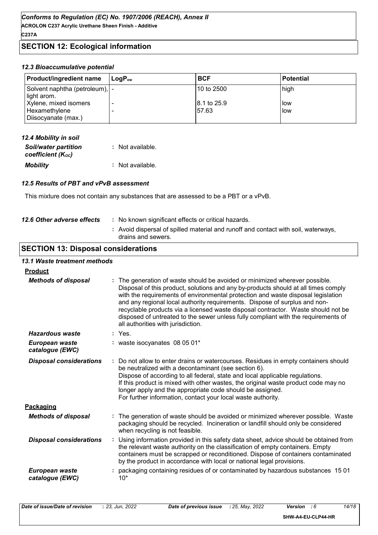**ACROLON C237 Acrylic Urethane Sheen Finish - Additive C237A**

## **SECTION 12: Ecological information**

#### *12.3 Bioaccumulative potential*

| <b>Product/ingredient name</b>                                | ⊺LoɑP <sub>∾w</sub> | <b>BCF</b>           | <b>Potential</b> |
|---------------------------------------------------------------|---------------------|----------------------|------------------|
| Solvent naphtha (petroleum),  -<br>light arom.                |                     | 10 to 2500           | high             |
| Xylene, mixed isomers<br>Hexamethylene<br>Diisocyanate (max.) |                     | 8.1 to 25.9<br>57.63 | low<br>low       |

| 12.4 Mobility in soil                            |                  |
|--------------------------------------------------|------------------|
| <b>Soil/water partition</b><br>coefficient (Koc) | : Not available. |
| <b>Mobility</b>                                  | : Not available. |

#### *12.5 Results of PBT and vPvB assessment*

This mixture does not contain any substances that are assessed to be a PBT or a vPvB.

| 12.6 Other adverse effects | : No known significant effects or critical hazards.                                                      |
|----------------------------|----------------------------------------------------------------------------------------------------------|
|                            | : Avoid dispersal of spilled material and runoff and contact with soil, waterways,<br>drains and sewers. |
|                            |                                                                                                          |

## **SECTION 13: Disposal considerations**

#### *13.1 Waste treatment methods*

#### **Product**

| <b>Methods of disposal</b>        | The generation of waste should be avoided or minimized wherever possible.<br>Disposal of this product, solutions and any by-products should at all times comply<br>with the requirements of environmental protection and waste disposal legislation<br>and any regional local authority requirements. Dispose of surplus and non-<br>recyclable products via a licensed waste disposal contractor. Waste should not be<br>disposed of untreated to the sewer unless fully compliant with the requirements of<br>all authorities with jurisdiction. |
|-----------------------------------|----------------------------------------------------------------------------------------------------------------------------------------------------------------------------------------------------------------------------------------------------------------------------------------------------------------------------------------------------------------------------------------------------------------------------------------------------------------------------------------------------------------------------------------------------|
| <b>Hazardous waste</b>            | : Yes.                                                                                                                                                                                                                                                                                                                                                                                                                                                                                                                                             |
| European waste<br>catalogue (EWC) | : waste isocyanates 08 05 01*                                                                                                                                                                                                                                                                                                                                                                                                                                                                                                                      |
| <b>Disposal considerations</b>    | Do not allow to enter drains or watercourses. Residues in empty containers should<br>be neutralized with a decontaminant (see section 6).<br>Dispose of according to all federal, state and local applicable regulations.<br>If this product is mixed with other wastes, the original waste product code may no<br>longer apply and the appropriate code should be assigned.<br>For further information, contact your local waste authority.                                                                                                       |
| Packaging                         |                                                                                                                                                                                                                                                                                                                                                                                                                                                                                                                                                    |
| <b>Methods of disposal</b>        | The generation of waste should be avoided or minimized wherever possible. Waste<br>packaging should be recycled. Incineration or landfill should only be considered<br>when recycling is not feasible.                                                                                                                                                                                                                                                                                                                                             |
| <b>Disposal considerations</b>    | Using information provided in this safety data sheet, advice should be obtained from<br>the relevant waste authority on the classification of empty containers. Empty<br>containers must be scrapped or reconditioned. Dispose of containers contaminated<br>by the product in accordance with local or national legal provisions.                                                                                                                                                                                                                 |
| European waste<br>catalogue (EWC) | packaging containing residues of or contaminated by hazardous substances 1501<br>$10*$                                                                                                                                                                                                                                                                                                                                                                                                                                                             |
|                                   |                                                                                                                                                                                                                                                                                                                                                                                                                                                                                                                                                    |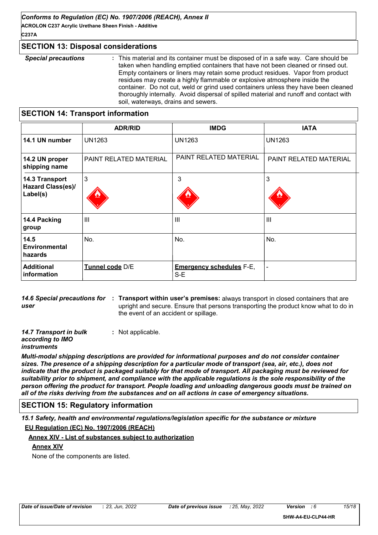**ACROLON C237 Acrylic Urethane Sheen Finish - Additive C237A**

#### **SECTION 13: Disposal considerations**

*Special precautions* **:** This material and its container must be disposed of in a safe way. Care should be taken when handling emptied containers that have not been cleaned or rinsed out. Empty containers or liners may retain some product residues. Vapor from product residues may create a highly flammable or explosive atmosphere inside the container. Do not cut, weld or grind used containers unless they have been cleaned thoroughly internally. Avoid dispersal of spilled material and runoff and contact with soil, waterways, drains and sewers.

## **SECTION 14: Transport information**

|                                                        | <b>ADR/RID</b>                | <b>IMDG</b>                              | <b>IATA</b>            |
|--------------------------------------------------------|-------------------------------|------------------------------------------|------------------------|
| 14.1 UN number                                         | <b>UN1263</b>                 | UN1263                                   | <b>UN1263</b>          |
| 14.2 UN proper<br>shipping name                        | <b>PAINT RELATED MATERIAL</b> | PAINT RELATED MATERIAL                   | PAINT RELATED MATERIAL |
| 14.3 Transport<br><b>Hazard Class(es)/</b><br>Label(s) | $\mathbf{3}$                  | 3                                        | 3                      |
| 14.4 Packing<br>group                                  | $\mathbf{III}$                | $\mathbf{III}$                           | III                    |
| 14.5<br>Environmental<br>hazards                       | No.                           | No.                                      | No.                    |
| <b>Additional</b><br>information                       | Tunnel code D/E               | <b>Emergency schedules F-E,</b><br>$S-E$ | -                      |

**14.6 Special precautions for : Transport within user's premises:** always transport in closed containers that are *user* upright and secure. Ensure that persons transporting the product know what to do in the event of an accident or spillage.

*14.7 Transport in bulk according to IMO*  **:** Not applicable.

#### *instruments*

*Multi-modal shipping descriptions are provided for informational purposes and do not consider container sizes. The presence of a shipping description for a particular mode of transport (sea, air, etc.), does not indicate that the product is packaged suitably for that mode of transport. All packaging must be reviewed for suitability prior to shipment, and compliance with the applicable regulations is the sole responsibility of the person offering the product for transport. People loading and unloading dangerous goods must be trained on all of the risks deriving from the substances and on all actions in case of emergency situations.*

### **SECTION 15: Regulatory information**

*15.1 Safety, health and environmental regulations/legislation specific for the substance or mixture* **EU Regulation (EC) No. 1907/2006 (REACH)**

#### **Annex XIV - List of substances subject to authorization**

### **Annex XIV**

None of the components are listed.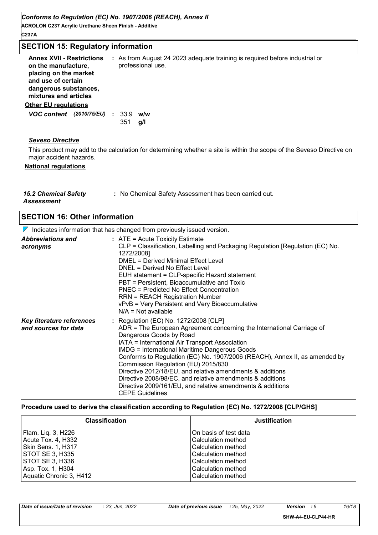**ACROLON C237 Acrylic Urethane Sheen Finish - Additive C237A**

| <b>SECTION 15: Regulatory information</b>                                                                                                                |                                                                                                                       |  |
|----------------------------------------------------------------------------------------------------------------------------------------------------------|-----------------------------------------------------------------------------------------------------------------------|--|
| <b>Annex XVII - Restrictions</b><br>on the manufacture,<br>placing on the market<br>and use of certain<br>dangerous substances,<br>mixtures and articles | : As from August 24 2023 adequate training is required before industrial or<br>professional use.                      |  |
| <b>Other EU regulations</b>                                                                                                                              |                                                                                                                       |  |
| VOC content (2010/75/EU) : 33.9 w/w                                                                                                                      | 351<br>g/l                                                                                                            |  |
| <b>Seveso Directive</b>                                                                                                                                  |                                                                                                                       |  |
| major accident hazards.                                                                                                                                  | This product may add to the calculation for determining whether a site is within the scope of the Seveso Directive on |  |
| <b>National regulations</b>                                                                                                                              |                                                                                                                       |  |
| <b>15.2 Chemical Safety</b><br><b>Assessment</b>                                                                                                         | : No Chemical Safety Assessment has been carried out.                                                                 |  |

| <b>SECTION 16: Other information</b><br>$\nabla$ Indicates information that has changed from previously issued version. |                                                                                                                                                                                                                                                                                                                                                                                                                                                                                                                                                                                            |  |
|-------------------------------------------------------------------------------------------------------------------------|--------------------------------------------------------------------------------------------------------------------------------------------------------------------------------------------------------------------------------------------------------------------------------------------------------------------------------------------------------------------------------------------------------------------------------------------------------------------------------------------------------------------------------------------------------------------------------------------|--|
|                                                                                                                         |                                                                                                                                                                                                                                                                                                                                                                                                                                                                                                                                                                                            |  |
| Key literature references<br>and sources for data                                                                       | : Regulation (EC) No. 1272/2008 [CLP]<br>ADR = The European Agreement concerning the International Carriage of<br>Dangerous Goods by Road<br>IATA = International Air Transport Association<br><b>IMDG = International Maritime Dangerous Goods</b><br>Conforms to Regulation (EC) No. 1907/2006 (REACH), Annex II, as amended by<br>Commission Regulation (EU) 2015/830<br>Directive 2012/18/EU, and relative amendments & additions<br>Directive 2008/98/EC, and relative amendments & additions<br>Directive 2009/161/EU, and relative amendments & additions<br><b>CEPE Guidelines</b> |  |

#### **Procedure used to derive the classification according to Regulation (EC) No. 1272/2008 [CLP/GHS]**

| <b>Classification</b>   | <b>Justification</b>  |
|-------------------------|-----------------------|
| Flam. Liq. 3, H226      | On basis of test data |
| Acute Tox. 4, H332      | l Calculation method  |
| Skin Sens. 1, H317      | l Calculation method  |
| STOT SE 3, H335         | l Calculation method  |
| STOT SE 3, H336         | Calculation method    |
| Asp. Tox. 1, H304       | Calculation method    |
| Aquatic Chronic 3, H412 | Calculation method    |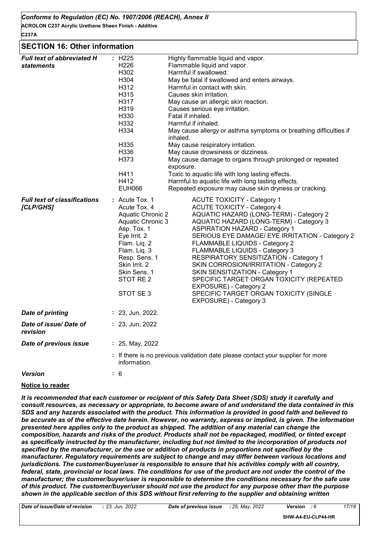**ACROLON C237 Acrylic Urethane Sheen Finish - Additive C237A**

#### **SECTION 16: Other information**

| <b>Full text of abbreviated H</b><br><i>statements</i> | : H225<br>Highly flammable liquid and vapor.<br>H <sub>226</sub><br>Flammable liquid and vapor.<br>H302<br>Harmful if swallowed.<br>H304<br>May be fatal if swallowed and enters airways.<br>H312<br>Harmful in contact with skin.<br>H315<br>Causes skin irritation.<br>H317<br>May cause an allergic skin reaction.<br>H319<br>Causes serious eye irritation.<br>H330<br>Fatal if inhaled.<br>H332<br>Harmful if inhaled.<br>H334<br>May cause allergy or asthma symptoms or breathing difficulties if<br>inhaled.<br>H335<br>May cause respiratory irritation.<br>May cause drowsiness or dizziness.<br>H336<br>H373<br>May cause damage to organs through prolonged or repeated<br>exposure.<br>H411<br>Toxic to aquatic life with long lasting effects.<br>H412<br>Harmful to aquatic life with long lasting effects.   |
|--------------------------------------------------------|------------------------------------------------------------------------------------------------------------------------------------------------------------------------------------------------------------------------------------------------------------------------------------------------------------------------------------------------------------------------------------------------------------------------------------------------------------------------------------------------------------------------------------------------------------------------------------------------------------------------------------------------------------------------------------------------------------------------------------------------------------------------------------------------------------------------------|
|                                                        | <b>EUH066</b><br>Repeated exposure may cause skin dryness or cracking.                                                                                                                                                                                                                                                                                                                                                                                                                                                                                                                                                                                                                                                                                                                                                       |
| <b>Full text of classifications</b><br>[CLP/GHS]       | : Acute Tox. 1<br><b>ACUTE TOXICITY - Category 1</b><br><b>ACUTE TOXICITY - Category 4</b><br>Acute Tox, 4<br>AQUATIC HAZARD (LONG-TERM) - Category 2<br><b>Aquatic Chronic 2</b><br>AQUATIC HAZARD (LONG-TERM) - Category 3<br>Aquatic Chronic 3<br>Asp. Tox. 1<br><b>ASPIRATION HAZARD - Category 1</b><br>Eye Irrit. 2<br>SERIOUS EYE DAMAGE/ EYE IRRITATION - Category 2<br>Flam. Liq. 2<br>FLAMMABLE LIQUIDS - Category 2<br>Flam. Liq. 3<br>FLAMMABLE LIQUIDS - Category 3<br>Resp. Sens. 1<br>RESPIRATORY SENSITIZATION - Category 1<br>Skin Irrit. 2<br>SKIN CORROSION/IRRITATION - Category 2<br>Skin Sens, 1<br>SKIN SENSITIZATION - Category 1<br>STOT RE 2<br>SPECIFIC TARGET ORGAN TOXICITY (REPEATED<br>EXPOSURE) - Category 2<br>STOT SE3<br>SPECIFIC TARGET ORGAN TOXICITY (SINGLE<br>EXPOSURE) - Category 3 |
| <b>Date of printing</b>                                | $: 23,$ Jun, 2022.                                                                                                                                                                                                                                                                                                                                                                                                                                                                                                                                                                                                                                                                                                                                                                                                           |
| Date of issue/Date of<br>revision                      | : 23, Jun, 2022                                                                                                                                                                                                                                                                                                                                                                                                                                                                                                                                                                                                                                                                                                                                                                                                              |
| Date of previous issue                                 | : 25, May, 2022                                                                                                                                                                                                                                                                                                                                                                                                                                                                                                                                                                                                                                                                                                                                                                                                              |
|                                                        | : If there is no previous validation date please contact your supplier for more<br>information.                                                                                                                                                                                                                                                                                                                                                                                                                                                                                                                                                                                                                                                                                                                              |
| <b>Version</b>                                         | : 6                                                                                                                                                                                                                                                                                                                                                                                                                                                                                                                                                                                                                                                                                                                                                                                                                          |

#### **Notice to reader**

*It is recommended that each customer or recipient of this Safety Data Sheet (SDS) study it carefully and consult resources, as necessary or appropriate, to become aware of and understand the data contained in this SDS and any hazards associated with the product. This information is provided in good faith and believed to be accurate as of the effective date herein. However, no warranty, express or implied, is given. The information presented here applies only to the product as shipped. The addition of any material can change the composition, hazards and risks of the product. Products shall not be repackaged, modified, or tinted except as specifically instructed by the manufacturer, including but not limited to the incorporation of products not specified by the manufacturer, or the use or addition of products in proportions not specified by the manufacturer. Regulatory requirements are subject to change and may differ between various locations and jurisdictions. The customer/buyer/user is responsible to ensure that his activities comply with all country, federal, state, provincial or local laws. The conditions for use of the product are not under the control of the manufacturer; the customer/buyer/user is responsible to determine the conditions necessary for the safe use of this product. The customer/buyer/user should not use the product for any purpose other than the purpose shown in the applicable section of this SDS without first referring to the supplier and obtaining written*